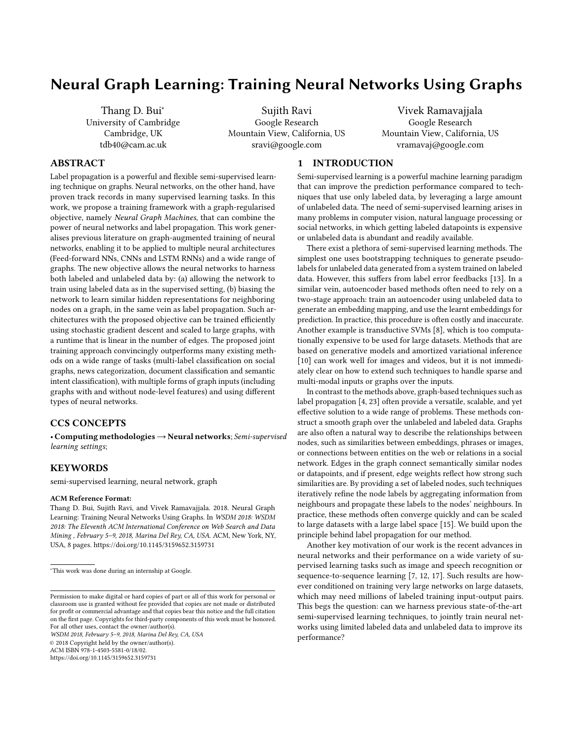# Neural Graph Learning: Training Neural Networks Using Graphs

Thang D. Bui<sup>\*</sup> University of Cambridge Cambridge, UK tdb40@cam.ac.uk

Sujith Ravi Google Research Mountain View, California, US sravi@google.com

Vivek Ramavajjala Google Research Mountain View, California, US vramavaj@google.com

## ABSTRACT

Label propagation is a powerful and flexible semi-supervised learning technique on graphs. Neural networks, on the other hand, have proven track records in many supervised learning tasks. In this work, we propose a training framework with a graph-regularised objective, namely Neural Graph Machines, that can combine the power of neural networks and label propagation. This work generalises previous literature on graph-augmented training of neural networks, enabling it to be applied to multiple neural architectures (Feed-forward NNs, CNNs and LSTM RNNs) and a wide range of graphs. The new objective allows the neural networks to harness both labeled and unlabeled data by: (a) allowing the network to train using labeled data as in the supervised setting, (b) biasing the network to learn similar hidden representations for neighboring nodes on a graph, in the same vein as label propagation. Such architectures with the proposed objective can be trained efficiently using stochastic gradient descent and scaled to large graphs, with a runtime that is linear in the number of edges. The proposed joint training approach convincingly outperforms many existing methods on a wide range of tasks (multi-label classification on social graphs, news categorization, document classification and semantic intent classification), with multiple forms of graph inputs (including graphs with and without node-level features) and using different types of neural networks.

## CCS CONCEPTS

• Computing methodologies→Neural networks; Semi-supervised learning settings;

# **KEYWORDS**

semi-supervised learning, neural network, graph

#### ACM Reference Format:

Thang D. Bui, Sujith Ravi, and Vivek Ramavajjala. 2018. Neural Graph Learning: Training Neural Networks Using Graphs. In WSDM 2018: WSDM 2018: The Eleventh ACM International Conference on Web Search and Data Mining , February 5–9, 2018, Marina Del Rey, CA, USA. ACM, New York, NY, USA, [8](#page-7-0) pages.<https://doi.org/10.1145/3159652.3159731>

WSDM 2018, February 5–9, 2018, Marina Del Rey, CA, USA

© 2018 Copyright held by the owner/author(s).

ACM ISBN 978-1-4503-5581-0/18/02.

<https://doi.org/10.1145/3159652.3159731>

#### 1 INTRODUCTION

Semi-supervised learning is a powerful machine learning paradigm that can improve the prediction performance compared to techniques that use only labeled data, by leveraging a large amount of unlabeled data. The need of semi-supervised learning arises in many problems in computer vision, natural language processing or social networks, in which getting labeled datapoints is expensive or unlabeled data is abundant and readily available.

There exist a plethora of semi-supervised learning methods. The simplest one uses bootstrapping techniques to generate pseudolabels for unlabeled data generated from a system trained on labeled data. However, this suffers from label error feedbacks [\[13\]](#page-6-0). In a similar vein, autoencoder based methods often need to rely on a two-stage approach: train an autoencoder using unlabeled data to generate an embedding mapping, and use the learnt embeddings for prediction. In practice, this procedure is often costly and inaccurate. Another example is transductive SVMs [\[8\]](#page-6-1), which is too computationally expensive to be used for large datasets. Methods that are based on generative models and amortized variational inference [\[10\]](#page-6-2) can work well for images and videos, but it is not immediately clear on how to extend such techniques to handle sparse and multi-modal inputs or graphs over the inputs.

In contrast to the methods above, graph-based techniques such as label propagation [\[4,](#page-6-3) [23\]](#page-7-1) often provide a versatile, scalable, and yet effective solution to a wide range of problems. These methods construct a smooth graph over the unlabeled and labeled data. Graphs are also often a natural way to describe the relationships between nodes, such as similarities between embeddings, phrases or images, or connections between entities on the web or relations in a social network. Edges in the graph connect semantically similar nodes or datapoints, and if present, edge weights reflect how strong such similarities are. By providing a set of labeled nodes, such techniques iteratively refine the node labels by aggregating information from neighbours and propagate these labels to the nodes' neighbours. In practice, these methods often converge quickly and can be scaled to large datasets with a large label space [\[15\]](#page-6-4). We build upon the principle behind label propagation for our method.

Another key motivation of our work is the recent advances in neural networks and their performance on a wide variety of supervised learning tasks such as image and speech recognition or sequence-to-sequence learning [\[7,](#page-6-5) [12,](#page-6-6) [17\]](#page-6-7). Such results are however conditioned on training very large networks on large datasets, which may need millions of labeled training input-output pairs. This begs the question: can we harness previous state-of-the-art semi-supervised learning techniques, to jointly train neural networks using limited labeled data and unlabeled data to improve its performance?

<sup>∗</sup>This work was done during an internship at Google.

Permission to make digital or hard copies of part or all of this work for personal or classroom use is granted without fee provided that copies are not made or distributed for profit or commercial advantage and that copies bear this notice and the full citation on the first page. Copyrights for third-party components of this work must be honored. For all other uses, contact the owner/author(s).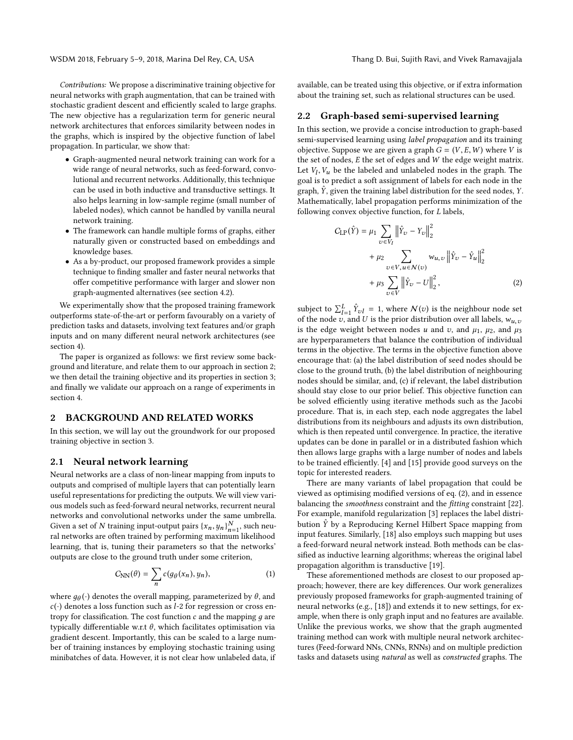WSDM 2018, February 5–9, 2018, Marina Del Rey, CA, USA Thang D. Bui, Sujith Ravi, and Vivek Ramavajjala

Contributions: We propose a discriminative training objective for neural networks with graph augmentation, that can be trained with stochastic gradient descent and efficiently scaled to large graphs. The new objective has a regularization term for generic neural network architectures that enforces similarity between nodes in the graphs, which is inspired by the objective function of label propagation. In particular, we show that:

- Graph-augmented neural network training can work for a wide range of neural networks, such as feed-forward, convolutional and recurrent networks. Additionally, this technique can be used in both inductive and transductive settings. It also helps learning in low-sample regime (small number of labeled nodes), which cannot be handled by vanilla neural network training.
- The framework can handle multiple forms of graphs, either naturally given or constructed based on embeddings and knowledge bases.
- As a by-product, our proposed framework provides a simple technique to finding smaller and faster neural networks that offer competitive performance with larger and slower non graph-augmented alternatives (see section [4.2\)](#page-4-0).

We experimentally show that the proposed training framework outperforms state-of-the-art or perform favourably on a variety of prediction tasks and datasets, involving text features and/or graph inputs and on many different neural network architectures (see section [4\)](#page-3-0).

The paper is organized as follows: we first review some background and literature, and relate them to our approach in section [2;](#page-1-0) we then detail the training objective and its properties in section [3;](#page-2-0) and finally we validate our approach on a range of experiments in section [4.](#page-3-0)

## <span id="page-1-0"></span>2 BACKGROUND AND RELATED WORKS

In this section, we will lay out the groundwork for our proposed training objective in section [3.](#page-2-0)

## 2.1 Neural network learning

Neural networks are a class of non-linear mapping from inputs to outputs and comprised of multiple layers that can potentially learn useful representations for predicting the outputs. We will view various models such as feed-forward neural networks, recurrent neural networks and convolutional networks under the same umbrella. Given a set of N training input-output pairs  $\{x_n, y_n\}_{n=1}^N$ , such neu-<br>rel networks are often trained by performing maximum likelihood Given a set of *I*v training input-output pairs  $(x_n, y_n)_{n=1}$ , such neural networks are often trained by performing maximum likelihood learning, that is, tuning their parameters so that the networks' outputs are close to the ground truth under some criterion,

$$
C_{NN}(\theta) = \sum_{n} c(g_{\theta}(x_n), y_n), \qquad (1)
$$

where  $g_{\theta}(t)$  denotes the overall mapping, parameterized by  $\theta$ , and  $c(t)$  denotes a loss function such as  $l-2$  for regression or cross en $c(\cdot)$  denotes a loss function such as *l*-2 for regression or cross entropy for classification. The cost function  $c$  and the mapping  $q$  are typically differentiable w.r.t θ, which facilitates optimisation via gradient descent. Importantly, this can be scaled to a large number of training instances by employing stochastic training using minibatches of data. However, it is not clear how unlabeled data, if

available, can be treated using this objective, or if extra information about the training set, such as relational structures can be used.

#### 2.2 Graph-based semi-supervised learning

In this section, we provide a concise introduction to graph-based semi-supervised learning using label propagation and its training objective. Suppose we are given a graph  $G = (V, E, W)$  where V is the set of nodes, E the set of edges and W the edge weight matrix. Let  $V_l$ ,  $V_u$  be the labeled and unlabeled nodes in the graph. The goal is to predict a soft assignment of labels for each node in the goal is to predict a soft assignment of labels for each node in the graph,  $\hat{Y}$ , given the training label distribution for the seed nodes,  $Y$ . Mathematically, label propagation performs minimization of the following convex objective function, for L labels,

<span id="page-1-1"></span>
$$
C_{\text{LP}}(\hat{Y}) = \mu_1 \sum_{v \in V_I} \left\| \hat{Y}_v - Y_v \right\|_2^2 + \mu_2 \sum_{v \in V, u \in \mathcal{N}(v)} w_{u,v} \left\| \hat{Y}_v - \hat{Y}_u \right\|_2^2 + \mu_3 \sum_{v \in V} \left\| \hat{Y}_v - U \right\|_2^2, \tag{2}
$$

subject to  $\sum_{i=1}^{L} \hat{Y}_{vl} = 1$ , where  $\mathcal{N}(v)$  is the neighbour node set of the node z<sub>1</sub> and *U* is the prior distribution over all labels *y'* of the node v, and U is the prior distribution over all labels,  $w_{u,v}$  is the edge weight between nodes u and v, and u, up and u is the edge weight between nodes u and v, and  $\mu_1$ ,  $\mu_2$ , and  $\mu_3$ are hyperparameters that balance the contribution of individual terms in the objective. The terms in the objective function above encourage that: (a) the label distribution of seed nodes should be close to the ground truth, (b) the label distribution of neighbouring nodes should be similar, and, (c) if relevant, the label distribution should stay close to our prior belief. This objective function can be solved efficiently using iterative methods such as the Jacobi procedure. That is, in each step, each node aggregates the label distributions from its neighbours and adjusts its own distribution, which is then repeated until convergence. In practice, the iterative updates can be done in parallel or in a distributed fashion which then allows large graphs with a large number of nodes and labels to be trained efficiently. [\[4\]](#page-6-3) and [\[15\]](#page-6-4) provide good surveys on the topic for interested readers.

There are many variants of label propagation that could be viewed as optimising modified versions of eq. [\(2\)](#page-1-1), and in essence balancing the smoothness constraint and the fitting constraint [\[22\]](#page-7-2). For example, manifold regularization [\[3\]](#page-6-8) replaces the label distribution  $\hat{Y}$  by a Reproducing Kernel Hilbert Space mapping from input features. Similarly, [\[18\]](#page-7-3) also employs such mapping but uses a feed-forward neural network instead. Both methods can be classified as inductive learning algorithms; whereas the original label propagation algorithm is transductive [\[19\]](#page-7-4).

<span id="page-1-2"></span>These aforementioned methods are closest to our proposed approach; however, there are key differences. Our work generalizes previously proposed frameworks for graph-augmented training of neural networks (e.g., [\[18\]](#page-7-3)) and extends it to new settings, for example, when there is only graph input and no features are available. Unlike the previous works, we show that the graph augmented training method can work with multiple neural network architectures (Feed-forward NNs, CNNs, RNNs) and on multiple prediction tasks and datasets using natural as well as constructed graphs. The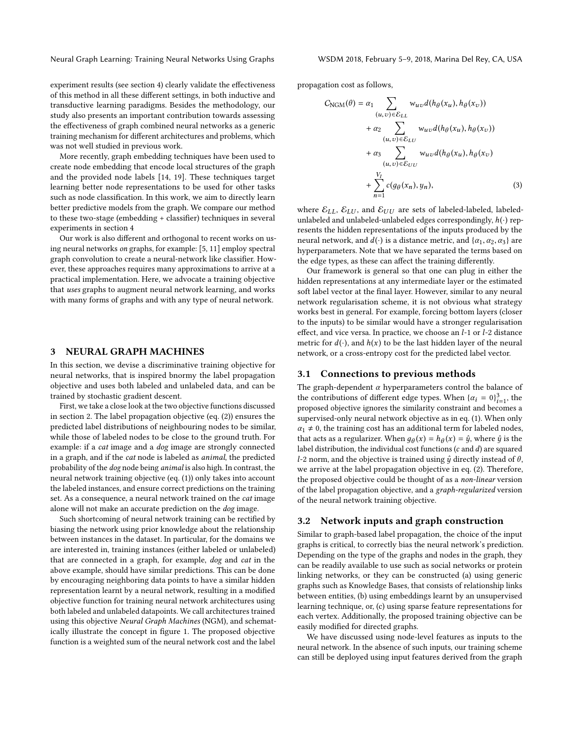Neural Graph Learning: Training Neural Networks Using Graphs WSDM 2018, February 5–9, 2018, Marina Del Rey, CA, USA

experiment results (see section [4\)](#page-3-0) clearly validate the effectiveness of this method in all these different settings, in both inductive and transductive learning paradigms. Besides the methodology, our study also presents an important contribution towards assessing the effectiveness of graph combined neural networks as a generic training mechanism for different architectures and problems, which was not well studied in previous work.

More recently, graph embedding techniques have been used to create node embedding that encode local structures of the graph and the provided node labels [\[14,](#page-6-9) [19\]](#page-7-4). These techniques target learning better node representations to be used for other tasks such as node classification. In this work, we aim to directly learn better predictive models from the graph. We compare our method to these two-stage (embedding + classifier) techniques in several experiments in section [4](#page-3-0)

Our work is also different and orthogonal to recent works on using neural networks on graphs, for example: [\[5,](#page-6-10) [11\]](#page-6-11) employ spectral graph convolution to create a neural-network like classifier. However, these approaches requires many approximations to arrive at a practical implementation. Here, we advocate a training objective that uses graphs to augment neural network learning, and works with many forms of graphs and with any type of neural network.

#### <span id="page-2-0"></span>3 NEURAL GRAPH MACHINES

In this section, we devise a discriminative training objective for neural networks, that is inspired bnormy the label propagation objective and uses both labeled and unlabeled data, and can be trained by stochastic gradient descent.

First, we take a close look at the two objective functions discussed in section [2.](#page-1-0) The label propagation objective (eq. [\(2\)](#page-1-1)) ensures the predicted label distributions of neighbouring nodes to be similar, while those of labeled nodes to be close to the ground truth. For example: if a cat image and a dog image are strongly connected in a graph, and if the cat node is labeled as animal, the predicted probability of the dog node being animal is also high. In contrast, the neural network training objective (eq. [\(1\)](#page-1-2)) only takes into account the labeled instances, and ensure correct predictions on the training set. As a consequence, a neural network trained on the cat image alone will not make an accurate prediction on the dog image.

Such shortcoming of neural network training can be rectified by biasing the network using prior knowledge about the relationship between instances in the dataset. In particular, for the domains we are interested in, training instances (either labeled or unlabeled) that are connected in a graph, for example, dog and cat in the above example, should have similar predictions. This can be done by encouraging neighboring data points to have a similar hidden representation learnt by a neural network, resulting in a modified objective function for training neural network architectures using both labeled and unlabeled datapoints. We call architectures trained using this objective Neural Graph Machines (NGM), and schematically illustrate the concept in figure [1.](#page-3-1) The proposed objective function is a weighted sum of the neural network cost and the label

propagation cost as follows,

<span id="page-2-1"></span>
$$
C_{\text{NGM}}(\theta) = \alpha_1 \sum_{(u,v) \in \mathcal{E}_{LL}} w_{uv} d(h_{\theta}(x_u), h_{\theta}(x_v))
$$
  
+  $\alpha_2 \sum_{(u,v) \in \mathcal{E}_{LL}} w_{uv} d(h_{\theta}(x_u), h_{\theta}(x_v))$   
+  $\alpha_3 \sum_{(u,v) \in \mathcal{E}_{UU}} w_{uv} d(h_{\theta}(x_u), h_{\theta}(x_v))$   
+  $\sum_{n=1}^{V_I} c(g_{\theta}(x_n), y_n),$  (3)

where  $\mathcal{E}_{LL}$ ,  $\mathcal{E}_{LU}$ , and  $\mathcal{E}_{UU}$  are sets of labeled-labeled, labeledunlabeled and unlabeled-unlabeled edges correspondingly,  $h(\cdot)$  represents the hidden representations of the inputs produced by the neural network, and  $d(\cdot)$  is a distance metric, and  $\{\alpha_1, \alpha_2, \alpha_3\}$  are hyperparameters. Note that we have separated the terms based on the edge types, as these can affect the training differently.

Our framework is general so that one can plug in either the hidden representations at any intermediate layer or the estimated soft label vector at the final layer. However, similar to any neural network regularisation scheme, it is not obvious what strategy works best in general. For example, forcing bottom layers (closer to the inputs) to be similar would have a stronger regularisation effect, and vice versa. In practice, we choose an l-1 or l-2 distance metric for  $d(\cdot)$ , and  $h(x)$  to be the last hidden layer of the neural network, or a cross-entropy cost for the predicted label vector.

#### 3.1 Connections to previous methods

The graph-dependent  $\alpha$  hyperparameters control the balance of the contributions of different edge types. When  $\{\alpha_i = 0\}_{i=1}^3$ , the proposed objective ignores the similarity constraint and becomes a the contributions of unferent edge types. when  $\{a_i = 0\}_{i=1}^n$ , the proposed objective ignores the similarity constraint and becomes a supervised-only neural network objective as in eq. [\(1\)](#page-1-2). When only  $\alpha_1 \neq 0$ , the training cost has an additional term for labeled nodes, that acts as a regularizer. When  $g_{\theta}(x) = h_{\theta}(x) = \hat{y}$ , where  $\hat{y}$  is the label distribution, the individual cost functions (c and d) are squared label distribution, the individual cost functions (c and d) are squared l-2 norm, and the objective is trained using  $\hat{y}$  directly instead of  $\theta$ , we arrive at the label propagation objective in eq. [\(2\)](#page-1-1). Therefore, the proposed objective could be thought of as a non-linear version of the label propagation objective, and a graph-regularized version of the neural network training objective.

#### 3.2 Network inputs and graph construction

Similar to graph-based label propagation, the choice of the input graphs is critical, to correctly bias the neural network's prediction. Depending on the type of the graphs and nodes in the graph, they can be readily available to use such as social networks or protein linking networks, or they can be constructed (a) using generic graphs such as Knowledge Bases, that consists of relationship links between entities, (b) using embeddings learnt by an unsupervised learning technique, or, (c) using sparse feature representations for each vertex. Additionally, the proposed training objective can be easily modified for directed graphs.

We have discussed using node-level features as inputs to the neural network. In the absence of such inputs, our training scheme can still be deployed using input features derived from the graph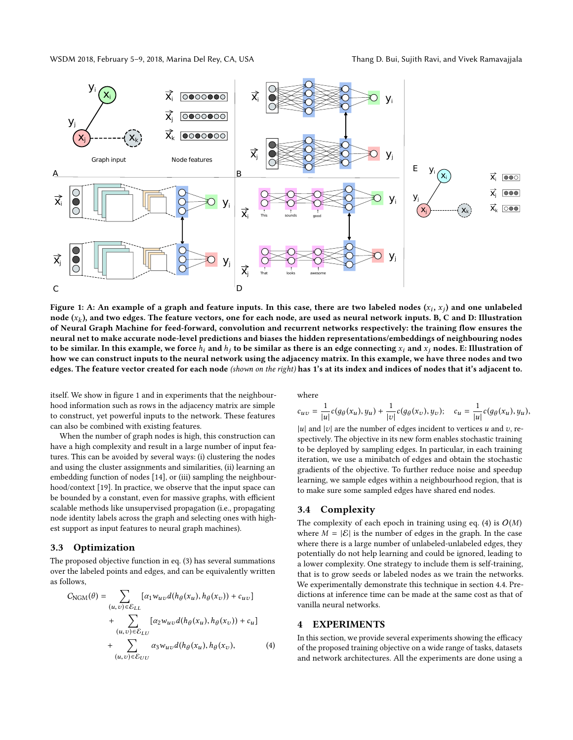WSDM 2018, February 5–9, 2018, Marina Del Rey, CA, USA Thang D. Bui, Sujith Ravi, and Vivek Ramavajjala

<span id="page-3-1"></span>

Figure 1: A: An example of a graph and feature inputs. In this case, there are two labeled nodes  $(x_i, x_j)$  and one unlabeled<br>node  $(x_i)$  and two edges. The feature vectors, one for each node, are used as neural network inpu node (x<sub>k</sub>), and two edges. The feature vectors, one for each node, are used as neural network inputs. B, C and D: Illustration<br>of Neural Graph Machine for feed-forward, convolution and recurrent networks respectively: the of Neural Graph Machine for feed-forward, convolution and recurrent networks respectively: the training flow ensures the neural net to make accurate node-level predictions and biases the hidden representations/embeddings of neighbouring nodes to be similar. In this example, we force  $h_i$  and  $h_j$  to be similar as there is an edge connecting  $x_i$  and  $x_j$  nodes. E: Illustration of how we can construct inputs to the neural network using the adjacency matrix. In this example, we have three nodes and two edges. The feature vector created for each node (shown on the right) has 1's at its index and indices of nodes that it's adjacent to.

itself. We show in figure [1](#page-3-1) and in experiments that the neighbourhood information such as rows in the adjacency matrix are simple to construct, yet powerful inputs to the network. These features can also be combined with existing features.

When the number of graph nodes is high, this construction can have a high complexity and result in a large number of input features. This can be avoided by several ways: (i) clustering the nodes and using the cluster assignments and similarities, (ii) learning an embedding function of nodes [\[14\]](#page-6-9), or (iii) sampling the neighbourhood/context [\[19\]](#page-7-4). In practice, we observe that the input space can be bounded by a constant, even for massive graphs, with efficient scalable methods like unsupervised propagation (i.e., propagating node identity labels across the graph and selecting ones with highest support as input features to neural graph machines).

#### 3.3 Optimization

The proposed objective function in eq. [\(3\)](#page-2-1) has several summations over the labeled points and edges, and can be equivalently written as follows,

$$
C_{\text{NGM}}(\theta) = \sum_{(u,v)\in \mathcal{E}_{LL}} [\alpha_1 w_{uv} d(h_{\theta}(x_u), h_{\theta}(x_v)) + c_{uv}] + \sum_{(u,v)\in \mathcal{E}_{LU}} [\alpha_2 w_{uv} d(h_{\theta}(x_u), h_{\theta}(x_v)) + c_u] + \sum_{(u,v)\in \mathcal{E}_{UU}} \alpha_3 w_{uv} d(h_{\theta}(x_u), h_{\theta}(x_v),
$$
 (4)

where

$$
c_{uv} = \frac{1}{|u|}c(g_{\theta}(x_u), y_u) + \frac{1}{|v|}c(g_{\theta}(x_v), y_v); \quad c_u = \frac{1}{|u|}c(g_{\theta}(x_u), y_u),
$$

|u| and  $|v|$  are the number of edges incident to vertices u and v, re-<br>spectively. The objective in its new form enables stochastic training spectively. The objective in its new form enables stochastic training to be deployed by sampling edges. In particular, in each training iteration, we use a minibatch of edges and obtain the stochastic gradients of the objective. To further reduce noise and speedup learning, we sample edges within a neighbourhood region, that is to make sure some sampled edges have shared end nodes.

#### 3.4 Complexity

The complexity of each epoch in training using eq. [\(4\)](#page-3-2) is  $O(M)$ where  $M = |\mathcal{E}|$  is the number of edges in the graph. In the case where there is a large number of unlabeled-unlabeled edges, they potentially do not help learning and could be ignored, leading to a lower complexity. One strategy to include them is self-training, that is to grow seeds or labeled nodes as we train the networks. We experimentally demonstrate this technique in section [4.4.](#page-5-0) Predictions at inference time can be made at the same cost as that of vanilla neural networks.

## <span id="page-3-0"></span>4 EXPERIMENTS

<span id="page-3-2"></span>In this section, we provide several experiments showing the efficacy of the proposed training objective on a wide range of tasks, datasets and network architectures. All the experiments are done using a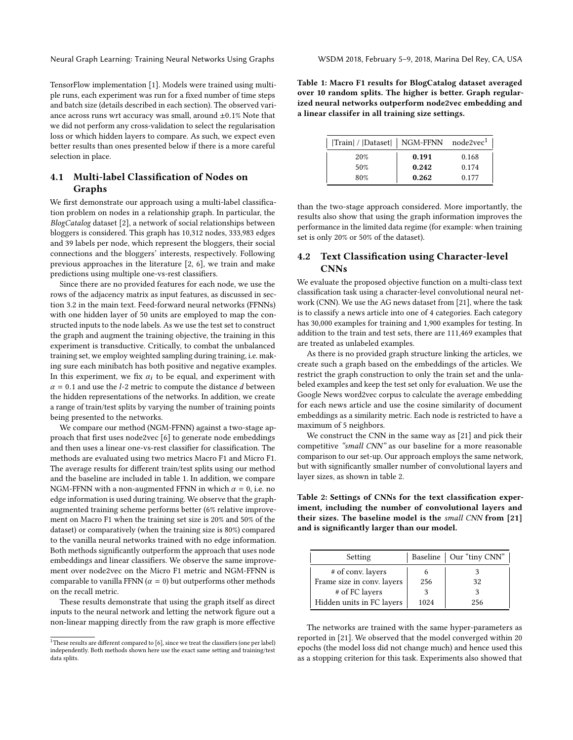Neural Graph Learning: Training Neural Networks Using Graphs WSDM 2018, February 5–9, 2018, Marina Del Rey, CA, USA

TensorFlow implementation [\[1\]](#page-6-12). Models were trained using multiple runs, each experiment was run for a fixed number of time steps and batch size (details described in each section). The observed variance across runs wrt accuracy was small, around  $\pm 0.1\%$  Note that we did not perform any cross-validation to select the regularisation loss or which hidden layers to compare. As such, we expect even better results than ones presented below if there is a more careful selection in place.

# 4.1 Multi-label Classification of Nodes on Graphs

We first demonstrate our approach using a multi-label classification problem on nodes in a relationship graph. In particular, the BlogCatalog dataset [\[2\]](#page-6-13), a network of social relationships between bloggers is considered. This graph has 10,312 nodes, 333,983 edges and 39 labels per node, which represent the bloggers, their social connections and the bloggers' interests, respectively. Following previous approaches in the literature [\[2,](#page-6-13) [6\]](#page-6-14), we train and make predictions using multiple one-vs-rest classifiers.

Since there are no provided features for each node, we use the rows of the adjacency matrix as input features, as discussed in section 3.2 in the main text. Feed-forward neural networks (FFNNs) with one hidden layer of 50 units are employed to map the constructed inputs to the node labels. As we use the test set to construct the graph and augment the training objective, the training in this experiment is transductive. Critically, to combat the unbalanced training set, we employ weighted sampling during training, i.e. making sure each minibatch has both positive and negative examples. In this experiment, we fix  $\alpha_i$  to be equal, and experiment with  $\alpha$  = 0.1 and use the *l*-2 metric to compute the distance *d* between the hidden representations of the networks. In addition, we create a range of train/test splits by varying the number of training points being presented to the networks.

We compare our method (NGM-FFNN) against a two-stage approach that first uses node2vec [\[6\]](#page-6-14) to generate node embeddings and then uses a linear one-vs-rest classifier for classification. The methods are evaluated using two metrics Macro F1 and Micro F1. The average results for different train/test splits using our method and the baseline are included in table [1.](#page-4-1) In addition, we compare NGM-FFNN with a non-augmented FFNN in which  $\alpha = 0$ , i.e. no edge information is used during training. We observe that the graphaugmented training scheme performs better (6% relative improvement on Macro F1 when the training set size is 20% and 50% of the dataset) or comparatively (when the training size is 80%) compared to the vanilla neural networks trained with no edge information. Both methods significantly outperform the approach that uses node embeddings and linear classifiers. We observe the same improvement over node2vec on the Micro F1 metric and NGM-FFNN is comparable to vanilla FFNN ( $\alpha = 0$ ) but outperforms other methods on the recall metric.

These results demonstrate that using the graph itself as direct inputs to the neural network and letting the network figure out a non-linear mapping directly from the raw graph is more effective <span id="page-4-1"></span>Table 1: Macro F1 results for BlogCatalog dataset averaged over 10 random splits. The higher is better. Graph regularized neural networks outperform node2vec embedding and a linear classifer in all training size settings.

| Train  /  Dataset    NGM-FFNN |                | node2vec <sup>1</sup> |
|-------------------------------|----------------|-----------------------|
| 20%                           | 0.191          | 0.168                 |
| 50%<br>80%                    | 0.242<br>0.262 | 0.174<br>0.177        |

than the two-stage approach considered. More importantly, the results also show that using the graph information improves the performance in the limited data regime (for example: when training set is only 20% or 50% of the dataset).

# <span id="page-4-0"></span>4.2 Text Classification using Character-level CNNs

We evaluate the proposed objective function on a multi-class text classification task using a character-level convolutional neural network (CNN). We use the AG news dataset from [\[21\]](#page-7-5), where the task is to classify a news article into one of 4 categories. Each category has 30,000 examples for training and 1,900 examples for testing. In addition to the train and test sets, there are 111,469 examples that are treated as unlabeled examples.

As there is no provided graph structure linking the articles, we create such a graph based on the embeddings of the articles. We restrict the graph construction to only the train set and the unlabeled examples and keep the test set only for evaluation. We use the Google News word2vec corpus to calculate the average embedding for each news article and use the cosine similarity of document embeddings as a similarity metric. Each node is restricted to have a maximum of 5 neighbors.

We construct the CNN in the same way as [\[21\]](#page-7-5) and pick their competitive "small CNN" as our baseline for a more reasonable comparison to our set-up. Our approach employs the same network, but with significantly smaller number of convolutional layers and layer sizes, as shown in table [2.](#page-4-3)

<span id="page-4-3"></span>Table 2: Settings of CNNs for the text classification experiment, including the number of convolutional layers and their sizes. The baseline model is the small CNN from [\[21\]](#page-7-5) and is significantly larger than our model.

| Setting                    |      | Baseline   Our "tiny CNN" |
|----------------------------|------|---------------------------|
| # of conv. layers          |      |                           |
| Frame size in conv. layers | 256  | 32                        |
| # of FC layers             |      |                           |
| Hidden units in FC layers  | 1024 | 256                       |

The networks are trained with the same hyper-parameters as reported in [\[21\]](#page-7-5). We observed that the model converged within 20 epochs (the model loss did not change much) and hence used this as a stopping criterion for this task. Experiments also showed that

<span id="page-4-2"></span> $^{\rm 1}{\rm These}$  results are different compared to [\[6\]](#page-6-14), since we treat the classifiers (one per label) independently. Both methods shown here use the exact same setting and training/test data splits.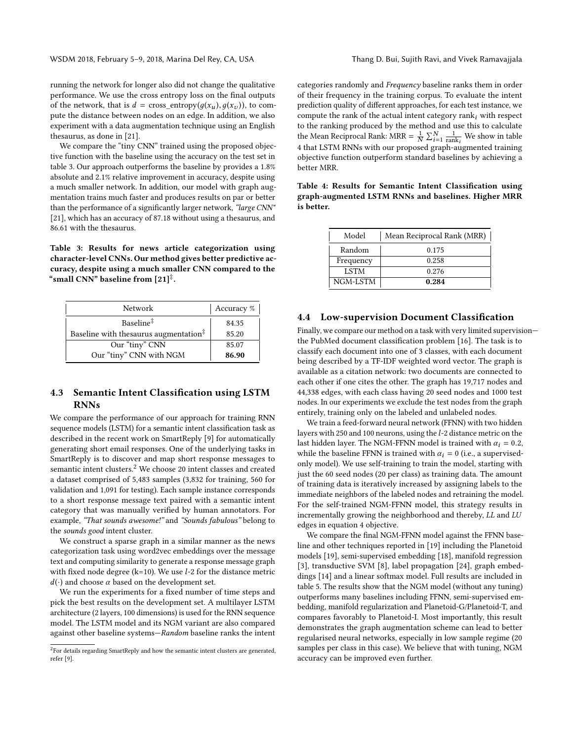running the network for longer also did not change the qualitative performance. We use the cross entropy loss on the final outputs of the network, that is  $d = \text{cross\_entropy}(g(x_u), g(x_v))$ , to compute the distance between nodes on an edge. In addition, we also experiment with a data augmentation technique using an English thesaurus, as done in [\[21\]](#page-7-5).

We compare the "tiny CNN" trained using the proposed objective function with the baseline using the accuracy on the test set in table [3.](#page-5-1) Our approach outperforms the baseline by provides a 1.8% absolute and 2.1% relative improvement in accuracy, despite using a much smaller network. In addition, our model with graph augmentation trains much faster and produces results on par or better than the performance of a significantly larger network, "large CNN" [\[21\]](#page-7-5), which has an accuracy of 87.18 without using a thesaurus, and 86.61 with the thesaurus.

<span id="page-5-1"></span>Table 3: Results for news article categorization using character-level CNNs. Our method gives better predictive accuracy, despite using a much smaller CNN compared to the "small CNN" baseline from  $[21]^\ddag$  $[21]^\ddag$ .

| <b>Network</b>                                             | Accuracy $\%$ |
|------------------------------------------------------------|---------------|
| Baseline <sup>#</sup>                                      | 84.35         |
| Baseline with the saurus augmentation $\ddot{\ddot{\phi}}$ | 85.20         |
| Our "tiny" CNN                                             | 85.07         |
| Our "tiny" CNN with NGM                                    | 86.90         |

## 4.3 Semantic Intent Classification using LSTM RNNs

We compare the performance of our approach for training RNN sequence models (LSTM) for a semantic intent classification task as described in the recent work on SmartReply [\[9\]](#page-6-15) for automatically generating short email responses. One of the underlying tasks in SmartReply is to discover and map short response messages to semantic intent clusters.[2](#page-5-2) We choose 20 intent classes and created a dataset comprised of 5,483 samples (3,832 for training, 560 for validation and 1,091 for testing). Each sample instance corresponds to a short response message text paired with a semantic intent category that was manually verified by human annotators. For example, "That sounds awesome!" and "Sounds fabulous" belong to the sounds good intent cluster.

We construct a sparse graph in a similar manner as the news categorization task using word2vec embeddings over the message text and computing similarity to generate a response message graph with fixed node degree ( $k=10$ ). We use  $l-2$  for the distance metric  $d(\cdot)$  and choose  $\alpha$  based on the development set.

We run the experiments for a fixed number of time steps and pick the best results on the development set. A multilayer LSTM architecture (2 layers, 100 dimensions) is used for the RNN sequence model. The LSTM model and its NGM variant are also compared against other baseline systems—Random baseline ranks the intent categories randomly and Frequency baseline ranks them in order of their frequency in the training corpus. To evaluate the intent prediction quality of different approaches, for each test instance, we compute the rank of the actual intent category rank $_i$  with respect to the ranking produced by the method and use this to calculate the Mean Reciprocal Rank: MRR =  $\frac{1}{N} \sum_{i=1}^{N} \frac{1}{\text{rank}_i}$  We show in table In the mean incrept or a name.  $N\Delta_{i=1}$   $\frac{1}{\text{rank}_i}$  we show in table [4](#page-5-3) that LSTM RNNs with our proposed graph-augmented training objective function outperform standard baselines by achieving a better MRR.

<span id="page-5-3"></span>Table 4: Results for Semantic Intent Classification using graph-augmented LSTM RNNs and baselines. Higher MRR is better.

| Model       | Mean Reciprocal Rank (MRR) |
|-------------|----------------------------|
| Random      | 0.175                      |
| Frequency   | 0.258                      |
| <b>LSTM</b> | 0.276                      |
| NGM-LSTM    | 0.284                      |

#### <span id="page-5-0"></span>4.4 Low-supervision Document Classification

Finally, we compare our method on a task with very limited supervision the PubMed document classification problem [\[16\]](#page-6-16). The task is to classify each document into one of 3 classes, with each document being described by a TF-IDF weighted word vector. The graph is available as a citation network: two documents are connected to each other if one cites the other. The graph has 19,717 nodes and 44,338 edges, with each class having 20 seed nodes and 1000 test nodes. In our experiments we exclude the test nodes from the graph entirely, training only on the labeled and unlabeled nodes.

We train a feed-forward neural network (FFNN) with two hidden layers with 250 and 100 neurons, using the l-2 distance metric on the last hidden layer. The NGM-FFNN model is trained with  $\alpha_i = 0.2$ , while the baseline FFNN is trained with  $\alpha_i = 0$  (i.e., a supervisedonly model). We use self-training to train the model, starting with just the 60 seed nodes (20 per class) as training data. The amount of training data is iteratively increased by assigning labels to the immediate neighbors of the labeled nodes and retraining the model. For the self-trained NGM-FFNN model, this strategy results in incrementally growing the neighborhood and thereby, LL and LU edges in equation [4](#page-3-2) objective.

We compare the final NGM-FFNN model against the FFNN baseline and other techniques reported in [\[19\]](#page-7-4) including the Planetoid models [\[19\]](#page-7-4), semi-supervised embedding [\[18\]](#page-7-3), manifold regression [\[3\]](#page-6-8), transductive SVM [\[8\]](#page-6-1), label propagation [\[24\]](#page-7-6), graph embeddings [\[14\]](#page-6-9) and a linear softmax model. Full results are included in table [5.](#page-6-17) The results show that the NGM model (without any tuning) outperforms many baselines including FFNN, semi-supervised embedding, manifold regularization and Planetoid-G/Planetoid-T, and compares favorably to Planetoid-I. Most importantly, this result demonstrates the graph augmentation scheme can lead to better regularised neural networks, especially in low sample regime (20 samples per class in this case). We believe that with tuning, NGM accuracy can be improved even further.

<span id="page-5-2"></span> $2$ For details regarding SmartReply and how the semantic intent clusters are generated, refer [\[9\]](#page-6-15).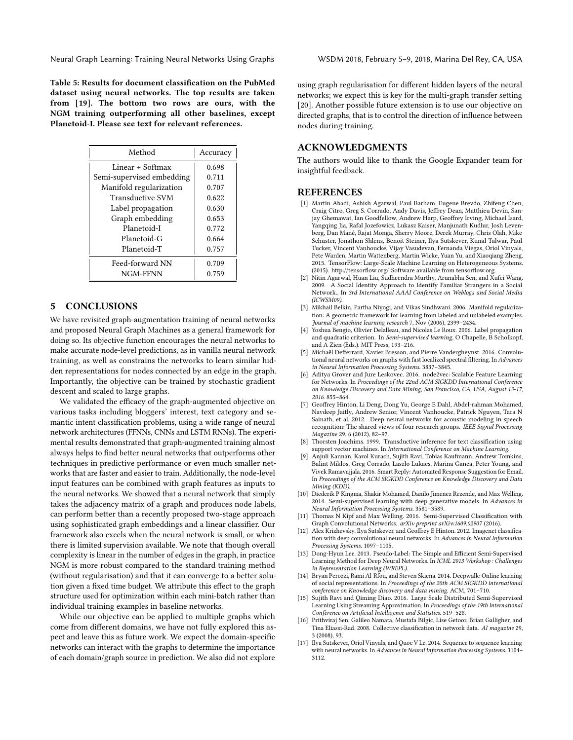Neural Graph Learning: Training Neural Networks Using Graphs WSDM 2018, February 5–9, 2018, Marina Del Rey, CA, USA

<span id="page-6-17"></span>Table 5: Results for document classification on the PubMed dataset using neural networks. The top results are taken from [\[19\]](#page-7-4). The bottom two rows are ours, with the NGM training outperforming all other baselines, except Planetoid-I. Please see text for relevant references.

| Method                    | Accuracy |
|---------------------------|----------|
| Linear + Softmax          | 0.698    |
| Semi-supervised embedding | 0.711    |
| Manifold regularization   | 0.707    |
| <b>Transductive SVM</b>   | 0.622    |
| Label propagation         | 0.630    |
| Graph embedding           | 0.653    |
| Planetoid-I               | 0.772    |
| Planetoid-G               | 0.664    |
| Planetoid-T               | 0.757    |
| Feed-forward NN           | 0.709    |
| NGM-FFNN                  | 0.759    |

## 5 CONCLUSIONS

We have revisited graph-augmentation training of neural networks and proposed Neural Graph Machines as a general framework for doing so. Its objective function encourages the neural networks to make accurate node-level predictions, as in vanilla neural network training, as well as constrains the networks to learn similar hidden representations for nodes connected by an edge in the graph. Importantly, the objective can be trained by stochastic gradient descent and scaled to large graphs.

We validated the efficacy of the graph-augmented objective on various tasks including bloggers' interest, text category and semantic intent classification problems, using a wide range of neural network architectures (FFNNs, CNNs and LSTM RNNs). The experimental results demonstrated that graph-augmented training almost always helps to find better neural networks that outperforms other techniques in predictive performance or even much smaller networks that are faster and easier to train. Additionally, the node-level input features can be combined with graph features as inputs to the neural networks. We showed that a neural network that simply takes the adjacency matrix of a graph and produces node labels, can perform better than a recently proposed two-stage approach using sophisticated graph embeddings and a linear classifier. Our framework also excels when the neural network is small, or when there is limited supervision available. We note that though overall complexity is linear in the number of edges in the graph, in practice NGM is more robust compared to the standard training method (without regularisation) and that it can converge to a better solution given a fixed time budget. We attribute this effect to the graph structure used for optimization within each mini-batch rather than individual training examples in baseline networks.

While our objective can be applied to multiple graphs which come from different domains, we have not fully explored this aspect and leave this as future work. We expect the domain-specific networks can interact with the graphs to determine the importance of each domain/graph source in prediction. We also did not explore

using graph regularisation for different hidden layers of the neural networks; we expect this is key for the multi-graph transfer setting [\[20\]](#page-7-7). Another possible future extension is to use our objective on directed graphs, that is to control the direction of influence between nodes during training.

## ACKNOWLEDGMENTS

The authors would like to thank the Google Expander team for insightful feedback.

#### REFERENCES

- <span id="page-6-12"></span>[1] Martín Abadi, Ashish Agarwal, Paul Barham, Eugene Brevdo, Zhifeng Chen, Craig Citro, Greg S. Corrado, Andy Davis, Jeffrey Dean, Matthieu Devin, Sanjay Ghemawat, Ian Goodfellow, Andrew Harp, Geoffrey Irving, Michael Isard, Yangqing Jia, Rafal Jozefowicz, Lukasz Kaiser, Manjunath Kudlur, Josh Levenberg, Dan Mané, Rajat Monga, Sherry Moore, Derek Murray, Chris Olah, Mike Schuster, Jonathon Shlens, Benoit Steiner, Ilya Sutskever, Kunal Talwar, Paul Tucker, Vincent Vanhoucke, Vijay Vasudevan, Fernanda Viégas, Oriol Vinyals, Pete Warden, Martin Wattenberg, Martin Wicke, Yuan Yu, and Xiaoqiang Zheng. 2015. TensorFlow: Large-Scale Machine Learning on Heterogeneous Systems. (2015).<http://tensorflow.org/> Software available from tensorflow.org.
- <span id="page-6-13"></span>[2] Nitin Agarwal, Huan Liu, Sudheendra Murthy, Arunabha Sen, and Xufei Wang. 2009. A Social Identity Approach to Identify Familiar Strangers in a Social Network.. In 3rd International AAAI Conference on Weblogs and Social Media (ICWSM09).
- <span id="page-6-8"></span>[3] Mikhail Belkin, Partha Niyogi, and Vikas Sindhwani. 2006. Manifold regularization: A geometric framework for learning from labeled and unlabeled examples. Journal of machine learning research 7, Nov (2006), 2399–2434.
- <span id="page-6-3"></span>[4] Yoshua Bengio, Olivier Delalleau, and Nicolas Le Roux. 2006. Label propagation and quadratic criterion. In Semi-supervised learning, O Chapelle, B Scholkopf, and A Zien (Eds.). MIT Press, 193–216.
- <span id="page-6-10"></span>[5] Michaël Defferrard, Xavier Bresson, and Pierre Vandergheynst. 2016. Convolutional neural networks on graphs with fast localized spectral filtering. In Advances in Neural Information Processing Systems. 3837–3845.
- <span id="page-6-14"></span>Aditya Grover and Jure Leskovec. 2016. node2vec: Scalable Feature Learning for Networks. In Proceedings of the 22nd ACM SIGKDD International Conference on Knowledge Discovery and Data Mining, San Francisco, CA, USA, August 13-17, 2016. 855–864.
- <span id="page-6-5"></span>[7] Geoffrey Hinton, Li Deng, Dong Yu, George E Dahl, Abdel-rahman Mohamed, Navdeep Jaitly, Andrew Senior, Vincent Vanhoucke, Patrick Nguyen, Tara N Sainath, et al. 2012. Deep neural networks for acoustic modeling in speech recognition: The shared views of four research groups. IEEE Signal Processing Magazine 29, 6 (2012), 82–97.
- <span id="page-6-1"></span>[8] Thorsten Joachims. 1999. Transductive inference for text classification using support vector machines. In International Conference on Machine Learning.
- <span id="page-6-15"></span>[9] Anjuli Kannan, Karol Kurach, Sujith Ravi, Tobias Kaufmann, Andrew Tomkins, Balint Miklos, Greg Corrado, Laszlo Lukacs, Marina Ganea, Peter Young, and Vivek Ramavajjala. 2016. Smart Reply: Automated Response Suggestion for Email. In Proceedings of the ACM SIGKDD Conference on Knowledge Discovery and Data Mining (KDD).
- <span id="page-6-2"></span>[10] Diederik P Kingma, Shakir Mohamed, Danilo Jimenez Rezende, and Max Welling. 2014. Semi-supervised learning with deep generative models. In Advances in Neural Information Processing Systems. 3581–3589.
- <span id="page-6-11"></span>[11] Thomas N Kipf and Max Welling. 2016. Semi-Supervised Classification with Graph Convolutional Networks. arXiv preprint arXiv:1609.02907 (2016).
- <span id="page-6-6"></span>[12] Alex Krizhevsky, Ilya Sutskever, and Geoffrey E Hinton. 2012. Imagenet classification with deep convolutional neural networks. In Advances in Neural Information Processing Systems. 1097–1105.
- <span id="page-6-0"></span>[13] Dong-Hyun Lee. 2013. Pseudo-Label: The Simple and Efficient Semi-Supervised Learning Method for Deep Neural Networks. In ICML 2013 Workshop : Challenges in Representation Learning (WREPL).
- <span id="page-6-9"></span>[14] Bryan Perozzi, Rami Al-Rfou, and Steven Skiena. 2014. Deepwalk: Online learning of social representations. In Proceedings of the 20th ACM SIGKDD international conference on Knowledge discovery and data mining. ACM, 701–710.
- <span id="page-6-4"></span>[15] Sujith Ravi and Qiming Diao. 2016. Large Scale Distributed Semi-Supervised Learning Using Streaming Approximation. In Proceedings of the 19th International Conference on Artificial Intelligence and Statistics. 519–528.
- <span id="page-6-16"></span>[16] Prithviraj Sen, Galileo Namata, Mustafa Bilgic, Lise Getoor, Brian Galligher, and Tina Eliassi-Rad. 2008. Collective classification in network data. AI magazine 29, 3 (2008), 93.
- <span id="page-6-7"></span>[17] Ilya Sutskever, Oriol Vinyals, and Quoc V Le. 2014. Sequence to sequence learning with neural networks. In Advances in Neural Information Processing Systems. 3104– 3112.